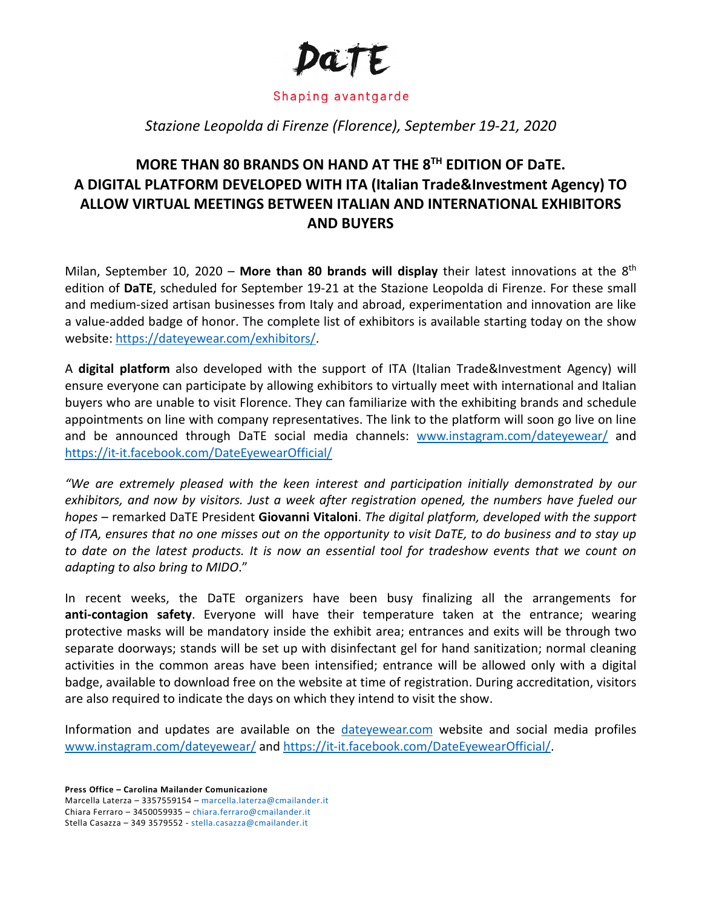

## Shaping avantgarde

## *Stazione Leopolda di Firenze (Florence), September 19-21, 2020*

## **MORE THAN 80 BRANDS ON HAND AT THE 8TH EDITION OF DaTE. A DIGITAL PLATFORM DEVELOPED WITH ITA (Italian Trade&Investment Agency) TO ALLOW VIRTUAL MEETINGS BETWEEN ITALIAN AND INTERNATIONAL EXHIBITORS AND BUYERS**

Milan, September 10, 2020 – **More than 80 brands will display** their latest innovations at the 8th edition of **DaTE**, scheduled for September 19-21 at the Stazione Leopolda di Firenze. For these small and medium-sized artisan businesses from Italy and abroad, experimentation and innovation are like a value-added badge of honor. The complete list of exhibitors is available starting today on the show website: [https://dateyewear.com/exhibitors/.](https://dateyewear.com/exhibitors/)

A **digital platform** also developed with the support of ITA (Italian Trade&Investment Agency) will ensure everyone can participate by allowing exhibitors to virtually meet with international and Italian buyers who are unable to visit Florence. They can familiarize with the exhibiting brands and schedule appointments on line with company representatives. The link to the platform will soon go live on line and be announced through DaTE social media channels: [www.instagram.com/dateyewear/](http://www.instagram.com/dateyewear/) and <https://it-it.facebook.com/DateEyewearOfficial/>

*"We are extremely pleased with the keen interest and participation initially demonstrated by our exhibitors, and now by visitors. Just a week after registration opened, the numbers have fueled our hopes* – remarked DaTE President **Giovanni Vitaloni**. *The digital platform, developed with the support of ITA, ensures that no one misses out on the opportunity to visit DaTE, to do business and to stay up*  to date on the latest products. It is now an essential tool for tradeshow events that we count on *adapting to also bring to MIDO*."

In recent weeks, the DaTE organizers have been busy finalizing all the arrangements for **anti-contagion safety**. Everyone will have their temperature taken at the entrance; wearing protective masks will be mandatory inside the exhibit area; entrances and exits will be through two separate doorways; stands will be set up with disinfectant gel for hand sanitization; normal cleaning activities in the common areas have been intensified; entrance will be allowed only with a digital badge, available to download free on the website at time of registration. During accreditation, visitors are also required to indicate the days on which they intend to visit the show.

Information and updates are available on the [dateyewear.com](http://dateyewear.com/) website and social media profiles [www.instagram.com/dateyewear/](http://www.instagram.com/dateyewear/) and [https://it-it.facebook.com/DateEyewearOfficial/.](https://it-it.facebook.com/DateEyewearOfficial/)

**Press Office – Carolina Mailander Comunicazione**

Marcella Laterza – 3357559154 – [marcella.laterza@cmailander.it](mailto:marcella.laterza@cmailander.it) Chiara Ferraro – 3450059935 – [chiara.ferraro@cmailander.it](mailto:chiara.ferraro@cmailander.it) Stella Casazza – 349 3579552 - stella.casazza@cmailander.it